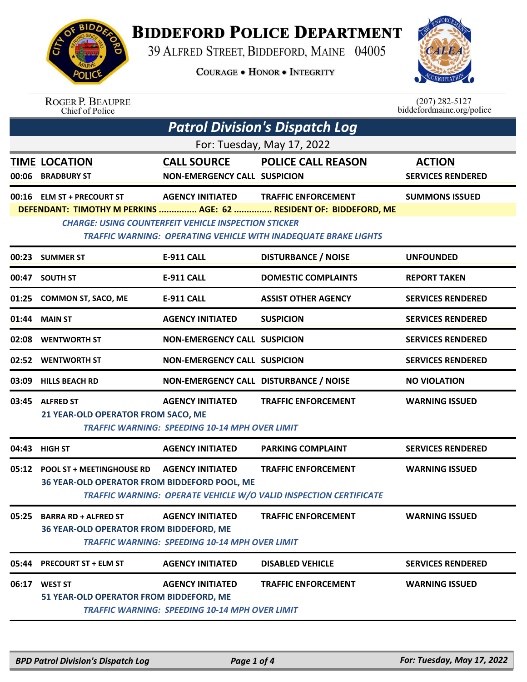

## **BIDDEFORD POLICE DEPARTMENT**

39 ALFRED STREET, BIDDEFORD, MAINE 04005

**COURAGE . HONOR . INTEGRITY** 



| <b>ROGER P. BEAUPRE</b> |
|-------------------------|
| Chief of Police         |

 $(207)$  282-5127<br>biddefordmaine.org/police

| <b>Patrol Division's Dispatch Log</b> |                                                                                                                                                                                                                                                                                                                            |                                                                                  |                                                                                                 |                                           |  |  |  |
|---------------------------------------|----------------------------------------------------------------------------------------------------------------------------------------------------------------------------------------------------------------------------------------------------------------------------------------------------------------------------|----------------------------------------------------------------------------------|-------------------------------------------------------------------------------------------------|-------------------------------------------|--|--|--|
| For: Tuesday, May 17, 2022            |                                                                                                                                                                                                                                                                                                                            |                                                                                  |                                                                                                 |                                           |  |  |  |
| 00:06                                 | <b>TIME LOCATION</b><br><b>BRADBURY ST</b>                                                                                                                                                                                                                                                                                 | <b>CALL SOURCE</b><br><b>NON-EMERGENCY CALL SUSPICION</b>                        | <b>POLICE CALL REASON</b>                                                                       | <b>ACTION</b><br><b>SERVICES RENDERED</b> |  |  |  |
|                                       | 00:16 ELM ST + PRECOURT ST<br><b>AGENCY INITIATED</b><br><b>TRAFFIC ENFORCEMENT</b><br><b>SUMMONS ISSUED</b><br>DEFENDANT: TIMOTHY M PERKINS  AGE: 62  RESIDENT OF: BIDDEFORD, ME<br><b>CHARGE: USING COUNTERFEIT VEHICLE INSPECTION STICKER</b><br><b>TRAFFIC WARNING: OPERATING VEHICLE WITH INADEQUATE BRAKE LIGHTS</b> |                                                                                  |                                                                                                 |                                           |  |  |  |
| 00:23                                 | <b>SUMMER ST</b>                                                                                                                                                                                                                                                                                                           | <b>E-911 CALL</b>                                                                | <b>DISTURBANCE / NOISE</b>                                                                      | <b>UNFOUNDED</b>                          |  |  |  |
| 00:47                                 | <b>SOUTH ST</b>                                                                                                                                                                                                                                                                                                            | <b>E-911 CALL</b>                                                                | <b>DOMESTIC COMPLAINTS</b>                                                                      | <b>REPORT TAKEN</b>                       |  |  |  |
| 01:25                                 | <b>COMMON ST, SACO, ME</b>                                                                                                                                                                                                                                                                                                 | <b>E-911 CALL</b>                                                                | <b>ASSIST OTHER AGENCY</b>                                                                      | <b>SERVICES RENDERED</b>                  |  |  |  |
| 01:44                                 | <b>MAIN ST</b>                                                                                                                                                                                                                                                                                                             | <b>AGENCY INITIATED</b>                                                          | <b>SUSPICION</b>                                                                                | <b>SERVICES RENDERED</b>                  |  |  |  |
| 02:08                                 | <b>WENTWORTH ST</b>                                                                                                                                                                                                                                                                                                        | <b>NON-EMERGENCY CALL SUSPICION</b>                                              |                                                                                                 | <b>SERVICES RENDERED</b>                  |  |  |  |
| 02:52                                 | <b>WENTWORTH ST</b>                                                                                                                                                                                                                                                                                                        | <b>NON-EMERGENCY CALL SUSPICION</b>                                              |                                                                                                 | <b>SERVICES RENDERED</b>                  |  |  |  |
| 03:09                                 | <b>HILLS BEACH RD</b>                                                                                                                                                                                                                                                                                                      | NON-EMERGENCY CALL DISTURBANCE / NOISE                                           |                                                                                                 | <b>NO VIOLATION</b>                       |  |  |  |
| 03:45                                 | <b>ALFRED ST</b><br>21 YEAR-OLD OPERATOR FROM SACO, ME                                                                                                                                                                                                                                                                     | <b>AGENCY INITIATED</b><br><b>TRAFFIC WARNING: SPEEDING 10-14 MPH OVER LIMIT</b> | <b>TRAFFIC ENFORCEMENT</b>                                                                      | <b>WARNING ISSUED</b>                     |  |  |  |
|                                       | 04:43 HIGH ST                                                                                                                                                                                                                                                                                                              | <b>AGENCY INITIATED</b>                                                          | <b>PARKING COMPLAINT</b>                                                                        | <b>SERVICES RENDERED</b>                  |  |  |  |
| 05:12                                 | <b>POOL ST + MEETINGHOUSE RD</b><br>36 YEAR-OLD OPERATOR FROM BIDDEFORD POOL, ME                                                                                                                                                                                                                                           | <b>AGENCY INITIATED</b>                                                          | <b>TRAFFIC ENFORCEMENT</b><br>TRAFFIC WARNING: OPERATE VEHICLE W/O VALID INSPECTION CERTIFICATE | <b>WARNING ISSUED</b>                     |  |  |  |
|                                       | 05:25 BARRA RD + ALFRED ST<br>36 YEAR-OLD OPERATOR FROM BIDDEFORD, ME                                                                                                                                                                                                                                                      | <b>AGENCY INITIATED</b><br><b>TRAFFIC WARNING: SPEEDING 10-14 MPH OVER LIMIT</b> | <b>TRAFFIC ENFORCEMENT</b>                                                                      | <b>WARNING ISSUED</b>                     |  |  |  |
|                                       | 05:44 PRECOURT ST + ELM ST                                                                                                                                                                                                                                                                                                 | <b>AGENCY INITIATED</b>                                                          | <b>DISABLED VEHICLE</b>                                                                         | <b>SERVICES RENDERED</b>                  |  |  |  |
| 06:17                                 | <b>WEST ST</b><br>51 YEAR-OLD OPERATOR FROM BIDDEFORD, ME                                                                                                                                                                                                                                                                  | <b>AGENCY INITIATED</b><br><b>TRAFFIC WARNING: SPEEDING 10-14 MPH OVER LIMIT</b> | <b>TRAFFIC ENFORCEMENT</b>                                                                      | <b>WARNING ISSUED</b>                     |  |  |  |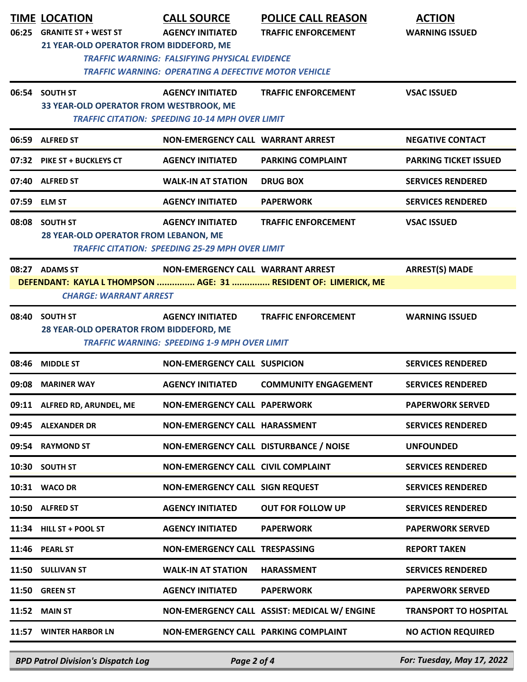|       | <b>TIME LOCATION</b>                    | <b>CALL SOURCE</b>                                          | <b>POLICE CALL REASON</b>                                       | <b>ACTION</b>                |
|-------|-----------------------------------------|-------------------------------------------------------------|-----------------------------------------------------------------|------------------------------|
| 06:25 | <b>GRANITE ST + WEST ST</b>             | <b>AGENCY INITIATED</b>                                     | <b>TRAFFIC ENFORCEMENT</b>                                      | <b>WARNING ISSUED</b>        |
|       | 21 YEAR-OLD OPERATOR FROM BIDDEFORD, ME | <b>TRAFFIC WARNING: FALSIFYING PHYSICAL EVIDENCE</b>        |                                                                 |                              |
|       |                                         | <b>TRAFFIC WARNING: OPERATING A DEFECTIVE MOTOR VEHICLE</b> |                                                                 |                              |
|       | 06:54 SOUTH ST                          | <b>AGENCY INITIATED</b>                                     | <b>TRAFFIC ENFORCEMENT</b>                                      | <b>VSAC ISSUED</b>           |
|       | 33 YEAR-OLD OPERATOR FROM WESTBROOK, ME |                                                             |                                                                 |                              |
|       |                                         | <b>TRAFFIC CITATION: SPEEDING 10-14 MPH OVER LIMIT</b>      |                                                                 |                              |
| 06:59 | <b>ALFRED ST</b>                        | <b>NON-EMERGENCY CALL WARRANT ARREST</b>                    |                                                                 | <b>NEGATIVE CONTACT</b>      |
|       | 07:32 PIKE ST + BUCKLEYS CT             | <b>AGENCY INITIATED</b>                                     | <b>PARKING COMPLAINT</b>                                        | <b>PARKING TICKET ISSUED</b> |
|       | 07:40 ALFRED ST                         | <b>WALK-IN AT STATION</b>                                   | <b>DRUG BOX</b>                                                 | <b>SERVICES RENDERED</b>     |
|       | 07:59 ELM ST                            | <b>AGENCY INITIATED</b>                                     | <b>PAPERWORK</b>                                                | <b>SERVICES RENDERED</b>     |
| 08:08 | <b>SOUTH ST</b>                         | <b>AGENCY INITIATED</b>                                     | <b>TRAFFIC ENFORCEMENT</b>                                      | <b>VSAC ISSUED</b>           |
|       | 28 YEAR-OLD OPERATOR FROM LEBANON, ME   |                                                             |                                                                 |                              |
|       |                                         | <b>TRAFFIC CITATION: SPEEDING 25-29 MPH OVER LIMIT</b>      |                                                                 |                              |
|       | 08:27 ADAMS ST                          | NON-EMERGENCY CALL WARRANT ARREST                           |                                                                 | <b>ARREST(S) MADE</b>        |
|       | <b>CHARGE: WARRANT ARREST</b>           |                                                             | DEFENDANT: KAYLA L THOMPSON  AGE: 31  RESIDENT OF: LIMERICK, ME |                              |
| 08:40 | <b>SOUTH ST</b>                         | <b>AGENCY INITIATED</b>                                     | <b>TRAFFIC ENFORCEMENT</b>                                      | <b>WARNING ISSUED</b>        |
|       | 28 YEAR-OLD OPERATOR FROM BIDDEFORD, ME |                                                             |                                                                 |                              |
|       |                                         | <b>TRAFFIC WARNING: SPEEDING 1-9 MPH OVER LIMIT</b>         |                                                                 |                              |
| 08:46 | <b>MIDDLE ST</b>                        | <b>NON-EMERGENCY CALL SUSPICION</b>                         |                                                                 | <b>SERVICES RENDERED</b>     |
| 09:08 | <b>MARINER WAY</b>                      | <b>AGENCY INITIATED</b>                                     | <b>COMMUNITY ENGAGEMENT</b>                                     | <b>SERVICES RENDERED</b>     |
|       | 09:11 ALFRED RD, ARUNDEL, ME            | <b>NON-EMERGENCY CALL PAPERWORK</b>                         |                                                                 | <b>PAPERWORK SERVED</b>      |
|       | 09:45 ALEXANDER DR                      | NON-EMERGENCY CALL HARASSMENT                               |                                                                 | <b>SERVICES RENDERED</b>     |
| 09:54 | <b>RAYMOND ST</b>                       | NON-EMERGENCY CALL DISTURBANCE / NOISE                      |                                                                 | <b>UNFOUNDED</b>             |
| 10:30 | <b>SOUTH ST</b>                         | NON-EMERGENCY CALL CIVIL COMPLAINT                          |                                                                 | <b>SERVICES RENDERED</b>     |
|       | 10:31 WACO DR                           | <b>NON-EMERGENCY CALL SIGN REQUEST</b>                      |                                                                 | <b>SERVICES RENDERED</b>     |
| 10:50 | <b>ALFRED ST</b>                        | <b>AGENCY INITIATED</b>                                     | <b>OUT FOR FOLLOW UP</b>                                        | <b>SERVICES RENDERED</b>     |
|       | 11:34 HILL ST + POOL ST                 | <b>AGENCY INITIATED</b>                                     | <b>PAPERWORK</b>                                                | <b>PAPERWORK SERVED</b>      |
| 11:46 | <b>PEARL ST</b>                         | <b>NON-EMERGENCY CALL TRESPASSING</b>                       |                                                                 | <b>REPORT TAKEN</b>          |
| 11:50 | <b>SULLIVAN ST</b>                      | <b>WALK-IN AT STATION</b>                                   | <b>HARASSMENT</b>                                               | <b>SERVICES RENDERED</b>     |
| 11:50 | <b>GREEN ST</b>                         | <b>AGENCY INITIATED</b>                                     | <b>PAPERWORK</b>                                                | <b>PAPERWORK SERVED</b>      |
| 11:52 | <b>MAIN ST</b>                          |                                                             | NON-EMERGENCY CALL ASSIST: MEDICAL W/ ENGINE                    | <b>TRANSPORT TO HOSPITAL</b> |
|       | 11:57 WINTER HARBOR LN                  | NON-EMERGENCY CALL PARKING COMPLAINT                        |                                                                 | <b>NO ACTION REQUIRED</b>    |
|       |                                         |                                                             |                                                                 |                              |

*BPD Patrol Division's Dispatch Log Page 2 of 4 For: Tuesday, May 17, 2022*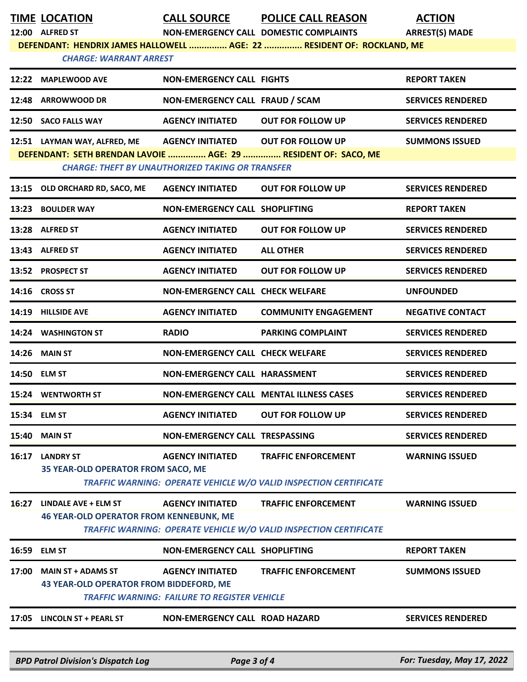| TIME LOCATION |
|---------------|
|               |

**TIME LOCATION CALL SOURCE POLICE CALL REASON ACTION**

**12:00 ALFRED ST NON-EMERGENCY CALL DOMESTIC COMPLAINTS ARREST(S) MADE DEFENDANT: HENDRIX JAMES HALLOWELL ............... AGE: 22 ............... RESIDENT OF: ROCKLAND, ME**

|       | <b>CHARGE: WARRANT ARREST</b> |                                                         |                                                                |                          |  |
|-------|-------------------------------|---------------------------------------------------------|----------------------------------------------------------------|--------------------------|--|
|       | 12:22 MAPLEWOOD AVE           | NON-EMERGENCY CALL FIGHTS                               |                                                                | <b>REPORT TAKEN</b>      |  |
| 12:48 | <b>ARROWWOOD DR</b>           | NON-EMERGENCY CALL FRAUD / SCAM                         |                                                                | <b>SERVICES RENDERED</b> |  |
|       | 12:50 SACO FALLS WAY          | <b>AGENCY INITIATED</b>                                 | <b>OUT FOR FOLLOW UP</b>                                       | <b>SERVICES RENDERED</b> |  |
|       | 12:51 LAYMAN WAY, ALFRED, ME  | <b>AGENCY INITIATED</b>                                 | <b>OUT FOR FOLLOW UP</b>                                       | <b>SUMMONS ISSUED</b>    |  |
|       |                               | <b>CHARGE: THEFT BY UNAUTHORIZED TAKING OR TRANSFER</b> | DEFENDANT: SETH BRENDAN LAVOIE  AGE: 29  RESIDENT OF: SACO, ME |                          |  |
|       |                               |                                                         |                                                                |                          |  |
| 13:15 | OLD ORCHARD RD, SACO, ME      | <b>AGENCY INITIATED</b>                                 | <b>OUT FOR FOLLOW UP</b>                                       | <b>SERVICES RENDERED</b> |  |
| 13:23 | <b>BOULDER WAY</b>            | NON-EMERGENCY CALL SHOPLIFTING                          |                                                                | <b>REPORT TAKEN</b>      |  |

| <b>TA.LA</b> |                                                        |                                         |                                                                   |                          |
|--------------|--------------------------------------------------------|-----------------------------------------|-------------------------------------------------------------------|--------------------------|
|              | 13:28 ALFRED ST                                        | <b>AGENCY INITIATED</b>                 | <b>OUT FOR FOLLOW UP</b>                                          | <b>SERVICES RENDERED</b> |
|              | 13:43 ALFRED ST                                        | <b>AGENCY INITIATED</b>                 | <b>ALL OTHER</b>                                                  | <b>SERVICES RENDERED</b> |
|              | 13:52 PROSPECT ST                                      | <b>AGENCY INITIATED</b>                 | <b>OUT FOR FOLLOW UP</b>                                          | <b>SERVICES RENDERED</b> |
|              | 14:16 CROSS ST                                         | <b>NON-EMERGENCY CALL CHECK WELFARE</b> |                                                                   | <b>UNFOUNDED</b>         |
|              | 14:19 HILLSIDE AVE                                     | <b>AGENCY INITIATED</b>                 | <b>COMMUNITY ENGAGEMENT</b>                                       | <b>NEGATIVE CONTACT</b>  |
|              | 14:24 WASHINGTON ST                                    | <b>RADIO</b>                            | <b>PARKING COMPLAINT</b>                                          | <b>SERVICES RENDERED</b> |
| 14:26        | <b>MAIN ST</b>                                         | <b>NON-EMERGENCY CALL CHECK WELFARE</b> |                                                                   | <b>SERVICES RENDERED</b> |
|              | 14:50 ELM ST                                           | <b>NON-EMERGENCY CALL HARASSMENT</b>    |                                                                   | <b>SERVICES RENDERED</b> |
|              | <b>15:24 WENTWORTH ST</b>                              |                                         | <b>NON-EMERGENCY CALL MENTAL ILLNESS CASES</b>                    | <b>SERVICES RENDERED</b> |
|              | 15:34 ELM ST                                           | <b>AGENCY INITIATED</b>                 | <b>OUT FOR FOLLOW UP</b>                                          | <b>SERVICES RENDERED</b> |
| 15:40        | <b>MAIN ST</b>                                         | <b>NON-EMERGENCY CALL TRESPASSING</b>   |                                                                   | <b>SERVICES RENDERED</b> |
| 16:17        | <b>LANDRY ST</b><br>35 YEAR-OLD OPERATOR FROM SACO, ME | <b>AGENCY INITIATED</b>                 | <b>TRAFFIC ENFORCEMENT</b>                                        | <b>WARNING ISSUED</b>    |
|              |                                                        |                                         | TRAFFIC WARNING: OPERATE VEHICLE W/O VALID INSPECTION CERTIFICATE |                          |

**16:27 LINDALE AVE + ELM ST AGENCY INITIATED TRAFFIC ENFORCEMENT WARNING ISSUED 46 YEAR-OLD OPERATOR FROM KENNEBUNK, ME**  *TRAFFIC WARNING: OPERATE VEHICLE W/O VALID INSPECTION CERTIFICATE* 

| 16:59 | ELM ST                                       | NON-EMERGENCY CALL SHOPLIFTING |                            | <b>REPORT TAKEN</b>   |  |
|-------|----------------------------------------------|--------------------------------|----------------------------|-----------------------|--|
| 17:00 | MAIN ST + ADAMS ST                           | AGENCY INITIATED               | <b>TRAFFIC ENFORCEMENT</b> | <b>SUMMONS ISSUED</b> |  |
|       | 43 YEAR-OLD OPERATOR FROM BIDDEFORD, ME      |                                |                            |                       |  |
|       | TRAFFIC WARNING: FAILURE TO REGISTER VEHICLE |                                |                            |                       |  |

**17:05 LINCOLN ST + PEARL ST NON-EMERGENCY CALL ROAD HAZARD SERVICES RENDERED**

*BPD Patrol Division's Dispatch Log Page 3 of 4 For: Tuesday, May 17, 2022*